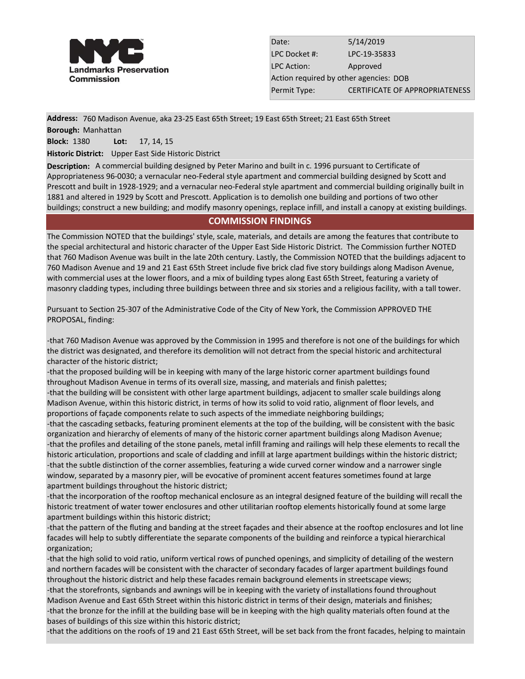

Date: 5/14/2019 LPC Docket #: LPC-19-35833 LPC Action: Approved Action required by other agencies: DOB Permit Type: **CERTIFICATE OF APPROPRIATENESS** 

**Address:** 760 Madison Avenue, aka 23-25 East 65th Street; 19 East 65th Street; 21 East 65th Street

**Borough:** Manhattan

**Block:** 1380 **Lot:** 17, 14, 15

**Historic District:** Upper East Side Historic District

**Description:** A commercial building designed by Peter Marino and built in c. 1996 pursuant to Certificate of Appropriateness 96-0030; a vernacular neo-Federal style apartment and commercial building designed by Scott and Prescott and built in 1928-1929; and a vernacular neo-Federal style apartment and commercial building originally built in 1881 and altered in 1929 by Scott and Prescott. Application is to demolish one building and portions of two other buildings; construct a new building; and modify masonry openings, replace infill, and install a canopy at existing buildings.

## **COMMISSION FINDINGS**

The Commission NOTED that the buildings' style, scale, materials, and details are among the features that contribute to the special architectural and historic character of the Upper East Side Historic District. The Commission further NOTED that 760 Madison Avenue was built in the late 20th century. Lastly, the Commission NOTED that the buildings adjacent to 760 Madison Avenue and 19 and 21 East 65th Street include five brick clad five story buildings along Madison Avenue, with commercial uses at the lower floors, and a mix of building types along East 65th Street, featuring a variety of masonry cladding types, including three buildings between three and six stories and a religious facility, with a tall tower.

Pursuant to Section 25-307 of the Administrative Code of the City of New York, the Commission APPROVED THE PROPOSAL, finding:

-that 760 Madison Avenue was approved by the Commission in 1995 and therefore is not one of the buildings for which the district was designated, and therefore its demolition will not detract from the special historic and architectural character of the historic district;

-that the proposed building will be in keeping with many of the large historic corner apartment buildings found throughout Madison Avenue in terms of its overall size, massing, and materials and finish palettes;

-that the building will be consistent with other large apartment buildings, adjacent to smaller scale buildings along Madison Avenue, within this historic district, in terms of how its solid to void ratio, alignment of floor levels, and proportions of façade components relate to such aspects of the immediate neighboring buildings;

-that the cascading setbacks, featuring prominent elements at the top of the building, will be consistent with the basic organization and hierarchy of elements of many of the historic corner apartment buildings along Madison Avenue; -that the profiles and detailing of the stone panels, metal infill framing and railings will help these elements to recall the historic articulation, proportions and scale of cladding and infill at large apartment buildings within the historic district; -that the subtle distinction of the corner assemblies, featuring a wide curved corner window and a narrower single window, separated by a masonry pier, will be evocative of prominent accent features sometimes found at large apartment buildings throughout the historic district;

-that the incorporation of the rooftop mechanical enclosure as an integral designed feature of the building will recall the historic treatment of water tower enclosures and other utilitarian rooftop elements historically found at some large apartment buildings within this historic district;

-that the pattern of the fluting and banding at the street façades and their absence at the rooftop enclosures and lot line facades will help to subtly differentiate the separate components of the building and reinforce a typical hierarchical organization;

-that the high solid to void ratio, uniform vertical rows of punched openings, and simplicity of detailing of the western and northern facades will be consistent with the character of secondary facades of larger apartment buildings found throughout the historic district and help these facades remain background elements in streetscape views; -that the storefronts, signbands and awnings will be in keeping with the variety of installations found throughout Madison Avenue and East 65th Street within this historic district in terms of their design, materials and finishes; -that the bronze for the infill at the building base will be in keeping with the high quality materials often found at the bases of buildings of this size within this historic district;

-that the additions on the roofs of 19 and 21 East 65th Street, will be set back from the front facades, helping to maintain